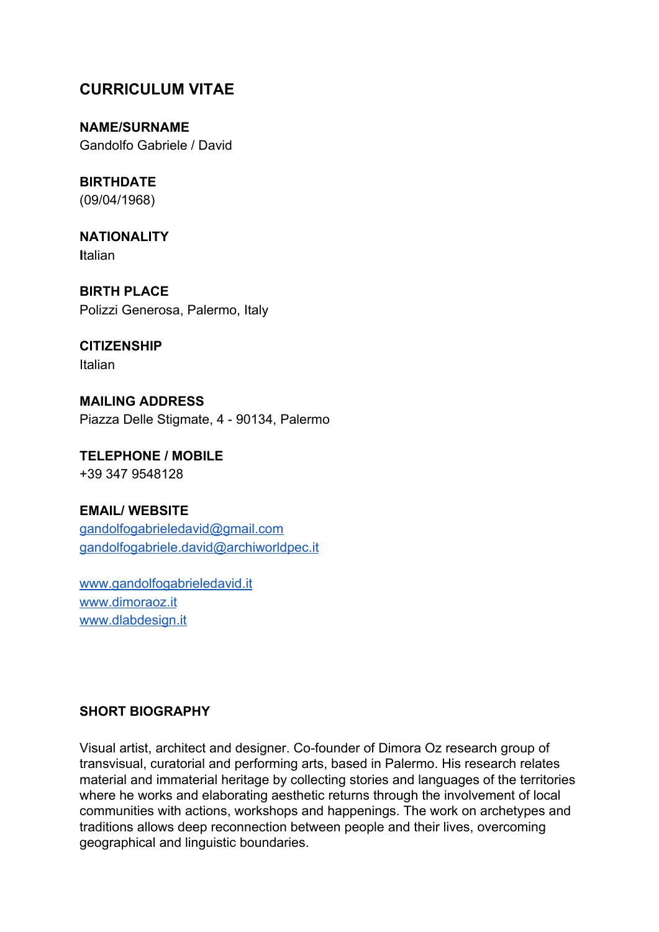# **CURRICULUM VITAE**

**NAME/SURNAME** Gandolfo Gabriele / David

**BIRTHDATE** (09/04/1968)

**NATIONALITY I**talian

**BIRTH PLACE** Polizzi Generosa, Palermo, Italy

**CITIZENSHIP** Italian

**MAILING ADDRESS** Piazza Delle Stigmate, 4 - 90134, Palermo

**TELEPHONE / MOBILE** +39 347 9548128

## **EMAIL/ WEBSITE**

[gandolfogabrieledavid@gmail.com](mailto:gandolfogabrieledavid@gmail.com) [gandolfogabriele.david@archiworldpec.it](mailto:gandolfogabriele.david@archiworldpec.it)

[www.gandolfogabrieledavid.it](http://www.gandolfogabrieledavid.it/) [www.dimoraoz.it](http://www.dimoraoz.it/) [www.dlabdesign.it](http://www.dlabdesign.it/)

## **SHORT BIOGRAPHY**

Visual artist, architect and designer. Co-founder of Dimora Oz research group of transvisual, curatorial and performing arts, based in Palermo. His research relates material and immaterial heritage by collecting stories and languages of the territories where he works and elaborating aesthetic returns through the involvement of local communities with actions, workshops and happenings. The work on archetypes and traditions allows deep reconnection between people and their lives, overcoming geographical and linguistic boundaries.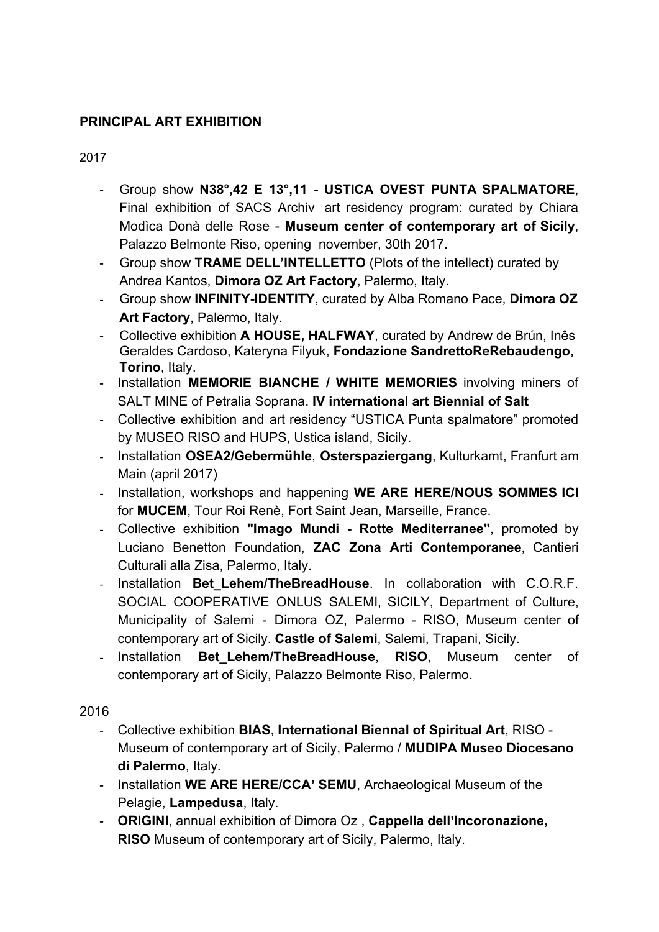## **PRINCIPAL ART EXHIBITION**

2017

- Group show **N38°,42 E 13°,11 - USTICA OVEST PUNTA SPALMATORE**, Final exhibition of SACS Archiv art residency program: curated by Chiara Modìca Donà delle Rose - **Museum center of contemporary art of Sicily**, Palazzo Belmonte Riso, opening november, 30th 2017.
- Group show **TRAME DELL'INTELLETTO** (Plots of the intellect) curated by Andrea Kantos, **Dimora OZ Art Factory**, Palermo, Italy.
- Group show **INFINITY-IDENTITY**, curated by Alba Romano Pace, **Dimora OZ Art Factory**, Palermo, Italy.
- Collective exhibition **A HOUSE, HALFWAY**, curated by Andrew de Brún, Inês Geraldes Cardoso, Kateryna Filyuk, **Fondazione SandrettoReRebaudengo, Torino**, Italy.
- Installation **MEMORIE BIANCHE / WHITE MEMORIES** involving miners of SALT MINE of Petralia Soprana. **IV international art Biennial of Salt**
- Collective exhibition and art residency "USTICA Punta spalmatore" promoted by MUSEO RISO and HUPS, Ustica island, Sicily.
- Installation **OSEA2/Gebermühle**, **Osterspaziergang**, Kulturkamt, Franfurt am Main (april 2017)
- Installation, workshops and happening **WE ARE HERE/NOUS SOMMES ICI** for **MUCEM**, Tour Roi Renè, Fort Saint Jean, Marseille, France.
- Collective exhibition **"Imago Mundi - Rotte Mediterranee"**, promoted by Luciano Benetton Foundation, **ZAC Zona Arti Contemporanee**, Cantieri Culturali alla Zisa, Palermo, Italy.
- Installation **Bet\_Lehem/TheBreadHouse**. In collaboration with C.O.R.F. SOCIAL COOPERATIVE ONLUS SALEMI, SICILY, Department of Culture, Municipality of Salemi - Dimora OZ, Palermo - RISO, Museum center of contemporary art of Sicily. **Castle of Salemi**, Salemi, Trapani, Sicily.
- Installation **Bet\_Lehem/TheBreadHouse**, **RISO**, Museum center of contemporary art of Sicily, Palazzo Belmonte Riso, Palermo.

2016

- Collective exhibition **BIAS**, **International Biennal of Spiritual Art**, RISO Museum of contemporary art of Sicily, Palermo / **MUDIPA Museo Diocesano di Palermo**, Italy.
- Installation **WE ARE HERE/CCA' SEMU**, Archaeological Museum of the Pelagie, **Lampedusa**, Italy.
- **ORIGINI**, annual exhibition of Dimora Oz , **Cappella dell'Incoronazione, RISO** Museum of contemporary art of Sicily, Palermo, Italy.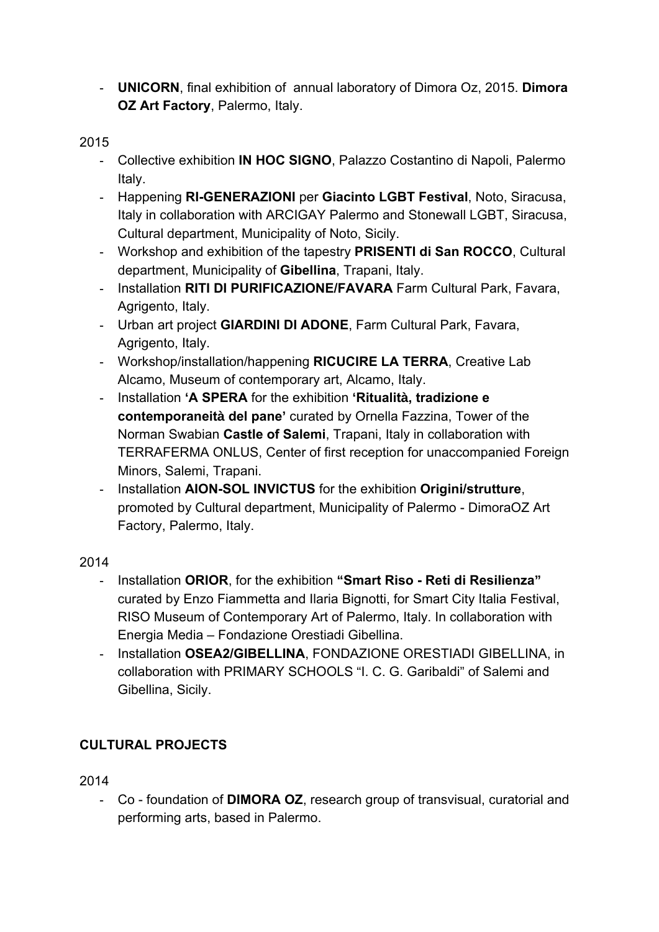- **UNICORN**, final exhibition of annual laboratory of Dimora Oz, 2015. **Dimora OZ Art Factory**, Palermo, Italy.

## 2015

- Collective exhibition **IN HOC SIGNO**, Palazzo Costantino di Napoli, Palermo Italy.
- Happening **RI-GENERAZIONI** per **Giacinto LGBT Festival**, Noto, Siracusa, Italy in collaboration with ARCIGAY Palermo and Stonewall LGBT, Siracusa, Cultural department, Municipality of Noto, Sicily.
- Workshop and exhibition of the tapestry **PRISENTI di San ROCCO**, Cultural department, Municipality of **Gibellina**, Trapani, Italy.
- Installation **RITI DI PURIFICAZIONE/FAVARA** Farm Cultural Park, Favara, Agrigento, Italy.
- Urban art project **GIARDINI DI ADONE**, Farm Cultural Park, Favara, Agrigento, Italy.
- Workshop/installation/happening **RICUCIRE LA TERRA**, Creative Lab Alcamo, Museum of contemporary art, Alcamo, Italy.
- Installation **'A SPERA** for the exhibition **'Ritualità, tradizione e contemporaneità del pane'** curated by Ornella Fazzina, Tower of the Norman Swabian **Castle of Salemi**, Trapani, Italy in collaboration with TERRAFERMA ONLUS, Center of first reception for unaccompanied Foreign Minors, Salemi, Trapani.
- Installation **AION-SOL INVICTUS** for the exhibition **Origini/strutture**, promoted by Cultural department, Municipality of Palermo - DimoraOZ Art Factory, Palermo, Italy.

## 2014

- Installation **ORIOR**, for the exhibition **"Smart Riso Reti di Resilienza"** curated by Enzo Fiammetta and Ilaria Bignotti, for Smart City Italia Festival, RISO Museum of Contemporary Art of Palermo, Italy. In collaboration with Energia Media *–* Fondazione Orestiadi Gibellina.
- Installation **OSEA2/GIBELLINA**, FONDAZIONE ORESTIADI GIBELLINA, in collaboration with PRIMARY SCHOOLS "I. C. G. Garibaldi" of Salemi and Gibellina, Sicily.

# **CULTURAL PROJECTS**

2014

- Co - foundation of **DIMORA OZ**, research group of transvisual, curatorial and performing arts, based in Palermo.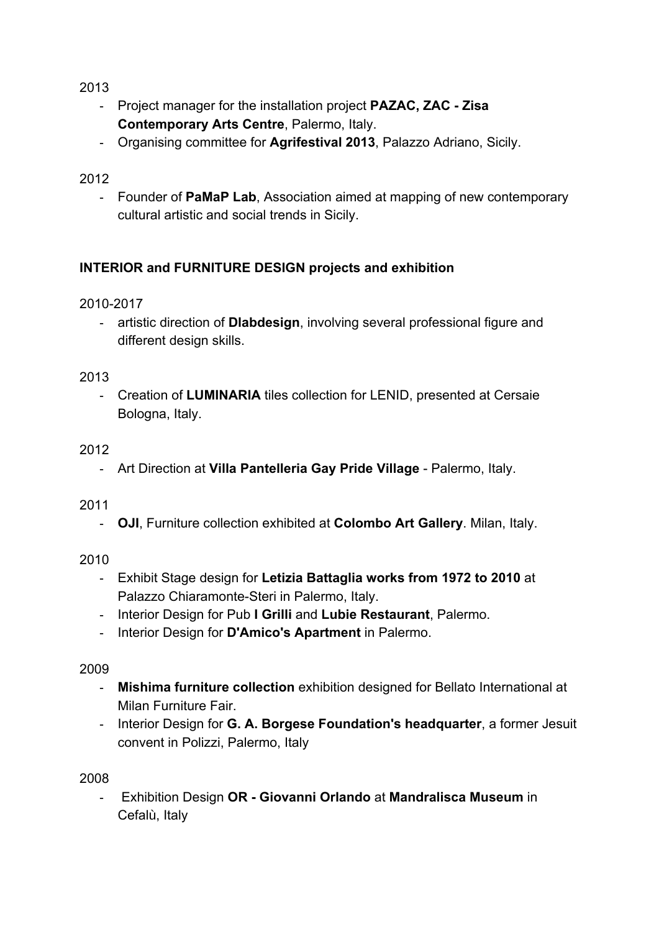2013

- Project manager for the installation project **PAZAC, ZAC Zisa Contemporary Arts Centre**, Palermo, Italy.
- Organising committee for **Agrifestival 2013**, Palazzo Adriano, Sicily.

## 2012

- Founder of **PaMaP Lab**, Association aimed at mapping of new contemporary cultural artistic and social trends in Sicily.

# **INTERIOR and FURNITURE DESIGN projects and exhibition**

2010-2017

- artistic direction of **Dlabdesign**, involving several professional figure and different design skills.

2013

- Creation of **LUMINARIA** tiles collection for LENID, presented at Cersaie Bologna, Italy.

## 2012

- Art Direction at **Villa Pantelleria Gay Pride Village** - Palermo, Italy.

2011

- **OJI**, Furniture collection exhibited at **Colombo Art Gallery**. Milan, Italy.

2010

- Exhibit Stage design for **Letizia Battaglia works from 1972 to 2010** at Palazzo Chiaramonte-Steri in Palermo, Italy.
- Interior Design for Pub **I Grilli** and **Lubie Restaurant**, Palermo.
- Interior Design for **D'Amico's Apartment** in Palermo.

2009

- **Mishima furniture collection** exhibition designed for Bellato International at Milan Furniture Fair.
- Interior Design for **G. A. Borgese Foundation's headquarter**, a former Jesuit convent in Polizzi, Palermo, Italy

2008

- Exhibition Design **OR - Giovanni Orlando** at **Mandralisca Museum** in Cefalù, Italy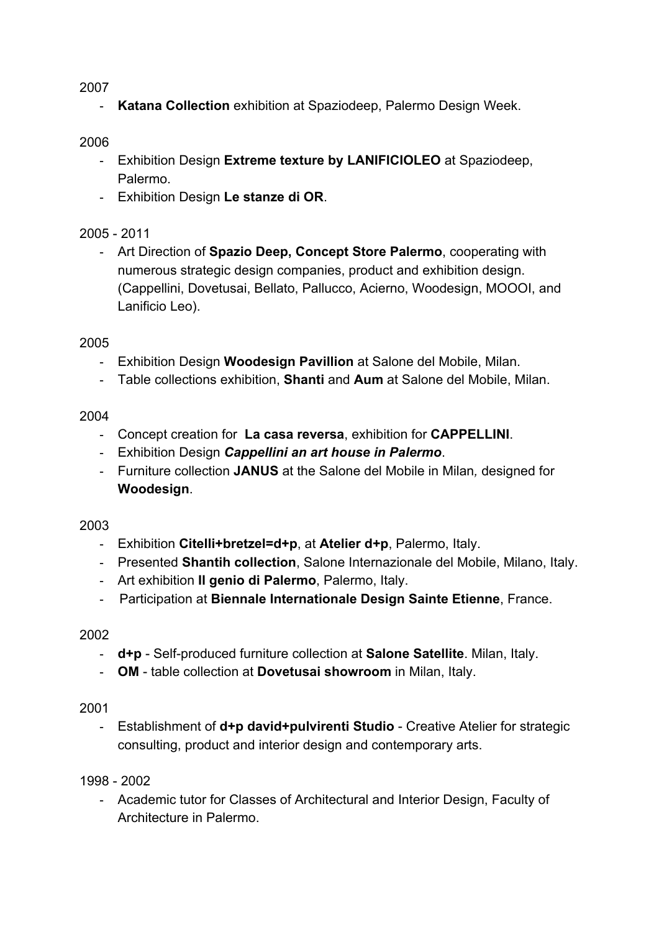#### 2007

- **Katana Collection** exhibition at Spaziodeep, Palermo Design Week.

#### 2006

- Exhibition Design **Extreme texture by LANIFICIOLEO** at Spaziodeep, Palermo.
- Exhibition Design **Le stanze di OR**.

## 2005 - 2011

- Art Direction of **Spazio Deep, Concept Store Palermo**, cooperating with numerous strategic design companies, product and exhibition design. (Cappellini, Dovetusai, Bellato, Pallucco, Acierno, Woodesign, MOOOI, and Lanificio Leo).

#### 2005

- Exhibition Design **Woodesign Pavillion** at Salone del Mobile, Milan.
- Table collections exhibition, **Shanti** and **Aum** at Salone del Mobile, Milan.

#### 2004

- Concept creation for **La casa reversa**, exhibition for **CAPPELLINI**.
- Exhibition Design *Cappellini an art house in Palermo*.
- Furniture collection **JANUS** at the Salone del Mobile in Milan*,* designed for **Woodesign**.

#### 2003

- Exhibition **Citelli+bretzel=d+p**, at **Atelier d+p**, Palermo, Italy.
- Presented **Shantih collection**, Salone Internazionale del Mobile, Milano, Italy.
- Art exhibition **Il genio di Palermo**, Palermo, Italy.
- Participation at **Biennale Internationale Design Sainte Etienne**, France.

#### 2002

- **d+p** Self-produced furniture collection at **Salone Satellite**. Milan, Italy.
- **OM**  table collection at **Dovetusai showroom** in Milan, Italy.

#### 2001

- Establishment of **d+p david+pulvirenti Studio** - Creative Atelier for strategic consulting, product and interior design and contemporary arts.

#### 1998 - 2002

- Academic tutor for Classes of Architectural and Interior Design, Faculty of Architecture in Palermo.